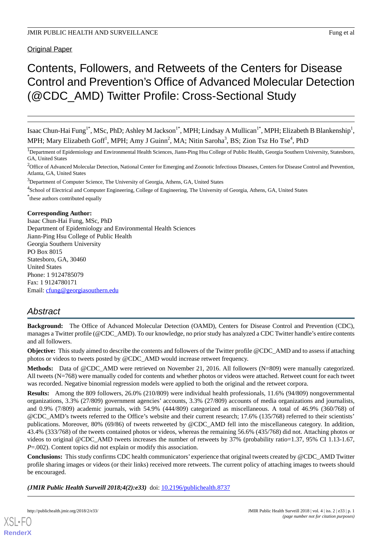## Original Paper

# Contents, Followers, and Retweets of the Centers for Disease Control and Prevention's Office of Advanced Molecular Detection (@CDC\_AMD) Twitter Profile: Cross-Sectional Study

Isaac Chun-Hai Fung<sup>1\*</sup>, MSc, PhD; Ashley M Jackson<sup>1\*</sup>, MPH; Lindsay A Mullican<sup>1\*</sup>, MPH; Elizabeth B Blankenship<sup>1</sup>, MPH; Mary Elizabeth Goff<sup>1</sup>, MPH; Amy J Guinn<sup>2</sup>, MA; Nitin Saroha<sup>3</sup>, BS; Zion Tsz Ho Tse<sup>4</sup>, PhD

<sup>1</sup>Department of Epidemiology and Environmental Health Sciences, Jiann-Ping Hsu College of Public Health, Georgia Southern University, Statesboro, GA, United States

<sup>2</sup>Office of Advanced Molecular Detection, National Center for Emerging and Zoonotic Infectious Diseases, Centers for Disease Control and Prevention, Atlanta, GA, United States

<sup>3</sup>Department of Computer Science, The University of Georgia, Athens, GA, United States

<sup>4</sup>School of Electrical and Computer Engineering, College of Engineering, The University of Georgia, Athens, GA, United States

\* these authors contributed equally

#### **Corresponding Author:**

Isaac Chun-Hai Fung, MSc, PhD Department of Epidemiology and Environmental Health Sciences Jiann-Ping Hsu College of Public Health Georgia Southern University PO Box 8015 Statesboro, GA, 30460 United States Phone: 1 9124785079 Fax: 1 9124780171 Email: [cfung@georgiasouthern.edu](mailto:cfung@georgiasouthern.edu)

## *Abstract*

**Background:** The Office of Advanced Molecular Detection (OAMD), Centers for Disease Control and Prevention (CDC), manages a Twitter profile (@CDC\_AMD). To our knowledge, no prior study has analyzed a CDC Twitter handle's entire contents and all followers.

**Objective:** This study aimed to describe the contents and followers of the Twitter profile @CDC\_AMD and to assess if attaching photos or videos to tweets posted by @CDC\_AMD would increase retweet frequency.

**Methods:** Data of @CDC\_AMD were retrieved on November 21, 2016. All followers (N=809) were manually categorized. All tweets (N=768) were manually coded for contents and whether photos or videos were attached. Retweet count for each tweet was recorded. Negative binomial regression models were applied to both the original and the retweet corpora.

**Results:** Among the 809 followers, 26.0% (210/809) were individual health professionals, 11.6% (94/809) nongovernmental organizations, 3.3% (27/809) government agencies' accounts, 3.3% (27/809) accounts of media organizations and journalists, and 0.9% (7/809) academic journals, with 54.9% (444/809) categorized as miscellaneous. A total of 46.9% (360/768) of @CDC\_AMD's tweets referred to the Office's website and their current research; 17.6% (135/768) referred to their scientists' publications. Moreover, 80% (69/86) of tweets retweeted by @CDC\_AMD fell into the miscellaneous category. In addition, 43.4% (333/768) of the tweets contained photos or videos, whereas the remaining 56.6% (435/768) did not. Attaching photos or videos to original @CDC\_AMD tweets increases the number of retweets by 37% (probability ratio=1.37, 95% CI 1.13-1.67, *P*=.002). Content topics did not explain or modify this association.

**Conclusions:** This study confirms CDC health communicators' experience that original tweets created by @CDC\_AMD Twitter profile sharing images or videos (or their links) received more retweets. The current policy of attaching images to tweets should be encouraged.

*(JMIR Public Health Surveill 2018;4(2):e33)* doi: [10.2196/publichealth.8737](http://dx.doi.org/10.2196/publichealth.8737)



**[RenderX](http://www.renderx.com/)**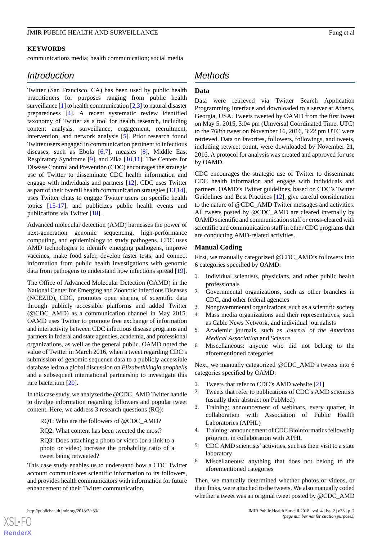#### **KEYWORDS**

communications media; health communication; social media

## *Introduction*

Twitter (San Francisco, CA) has been used by public health practitioners for purposes ranging from public health surveillance  $[1]$  $[1]$  to health communication  $[2,3]$  $[2,3]$  $[2,3]$  to natural disaster preparedness [\[4](#page-7-3)]. A recent systematic review identified taxonomy of Twitter as a tool for health research, including content analysis, surveillance, engagement, recruitment, intervention, and network analysis [\[5](#page-7-4)]. Prior research found Twitter users engaged in communication pertinent to infectious diseases, such as Ebola [\[6](#page-7-5),[7\]](#page-7-6), measles [\[8](#page-7-7)], Middle East Respiratory Syndrome [[9\]](#page-7-8), and Zika [\[10](#page-7-9),[11\]](#page-7-10). The Centers for Disease Control and Prevention (CDC) encourages the strategic use of Twitter to disseminate CDC health information and engage with individuals and partners [\[12](#page-7-11)]. CDC uses Twitter as part of their overall health communication strategies [\[13](#page-7-12),[14\]](#page-7-13), uses Twitter chats to engage Twitter users on specific health topics [[15-](#page-7-14)[17](#page-8-0)], and publicizes public health events and publications via Twitter [\[18](#page-8-1)].

Advanced molecular detection (AMD) harnesses the power of next-generation genomic sequencing, high-performance computing, and epidemiology to study pathogens. CDC uses AMD technologies to identify emerging pathogens, improve vaccines, make food safer, develop faster tests, and connect information from public health investigations with genomic data from pathogens to understand how infections spread [[19\]](#page-8-2).

The Office of Advanced Molecular Detection (OAMD) in the National Center for Emerging and Zoonotic Infectious Diseases (NCEZID), CDC, promotes open sharing of scientific data through publicly accessible platforms and added Twitter (@CDC\_AMD) as a communication channel in May 2015. OAMD uses Twitter to promote free exchange of information and interactivity between CDC infectious disease programs and partners in federal and state agencies, academia, and professional organizations, as well as the general public. OAMD noted the value of Twitter in March 2016, when a tweet regarding CDC's submission of genomic sequence data to a publicly accessible database led to a global discussion on *Elizabethkingia anophelis* and a subsequent international partnership to investigate this rare bacterium [\[20](#page-8-3)].

In this case study, we analyzed the @CDC\_AMD Twitter handle to divulge information regarding followers and popular tweet content. Here, we address 3 research questions (RQ):

RQ1: Who are the followers of @CDC\_AMD?

RQ2: What content has been tweeted the most?

RQ3: Does attaching a photo or video (or a link to a photo or video) increase the probability ratio of a tweet being retweeted?

This case study enables us to understand how a CDC Twitter account communicates scientific information to its followers, and provides health communicators with information for future enhancement of their Twitter communication.

## *Methods*

#### **Data**

Data were retrieved via Twitter Search Application Programming Interface and downloaded to a server at Athens, Georgia, USA. Tweets tweeted by OAMD from the first tweet on May 5, 2015, 3:04 pm (Universal Coordinated Time, UTC) to the 768th tweet on November 16, 2016, 3:22 pm UTC were retrieved. Data on favorites, followers, followings, and tweets, including retweet count, were downloaded by November 21, 2016. A protocol for analysis was created and approved for use by OAMD.

CDC encourages the strategic use of Twitter to disseminate CDC health information and engage with individuals and partners. OAMD's Twitter guidelines, based on CDC's Twitter Guidelines and Best Practices [[12\]](#page-7-11), give careful consideration to the nature of @CDC\_AMD Twitter messages and activities. All tweets posted by @CDC\_AMD are cleared internally by OAMD scientific and communication staff or cross-cleared with scientific and communication staff in other CDC programs that are conducting AMD-related activities.

#### **Manual Coding**

First, we manually categorized @CDC\_AMD's followers into 6 categories specified by OAMD:

- 1. Individual scientists, physicians, and other public health professionals
- 2. Governmental organizations, such as other branches in CDC, and other federal agencies
- 3. Nongovernmental organizations, such as a scientific society
- 4. Mass media organizations and their representatives, such as Cable News Network, and individual journalists
- 5. Academic journals, such as *Journal of the American Medical Association* and *Science*
- 6. Miscellaneous: anyone who did not belong to the aforementioned categories

Next, we manually categorized @CDC\_AMD's tweets into 6 categories specified by OAMD:

- 1. Tweets that refer to CDC's AMD website [\[21](#page-8-4)]
- 2. Tweets that refer to publications of CDC's AMD scientists (usually their abstract on PubMed)
- 3. Training: announcement of webinars, every quarter, in collaboration with Association of Public Health Laboratories (APHL)
- 4. Training: announcement of CDC Bioinformatics fellowship program, in collaboration with APHL
- 5. CDC AMD scientists' activities, such as their visit to a state laboratory
- 6. Miscellaneous: anything that does not belong to the aforementioned categories

Then, we manually determined whether photos or videos, or their links, were attached to the tweets. We also manually coded whether a tweet was an original tweet posted by @CDC\_AMD

[XSL](http://www.w3.org/Style/XSL)•FO **[RenderX](http://www.renderx.com/)**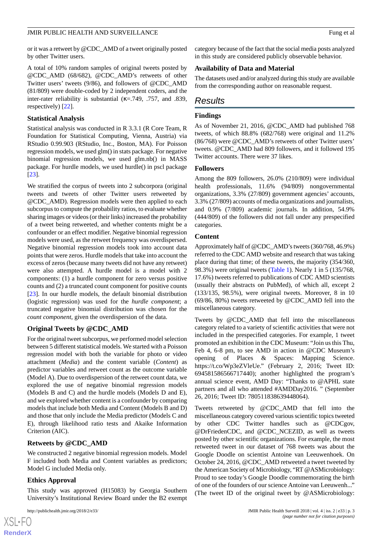or it was a retweet by @CDC\_AMD of a tweet originally posted by other Twitter users.

A total of 10% random samples of original tweets posted by @CDC\_AMD (68/682), @CDC\_AMD's retweets of other Twitter users' tweets (9/86), and followers of @CDC\_AMD (81/809) were double-coded by 2 independent coders, and the inter-rater reliability is substantial ( $\kappa$ =.749, .757, and .839, respectively) [[22\]](#page-8-5).

#### **Statistical Analysis**

Statistical analysis was conducted in R 3.3.1 (R Core Team, R Foundation for Statistical Computing, Vienna, Austria) via RStudio 0.99.903 (RStudio, Inc., Boston, MA). For Poisson regression models, we used glm() in stats package. For negative binomial regression models, we used glm.nb() in MASS package. For hurdle models, we used hurdle() in pscl package [[23\]](#page-8-6).

We stratified the corpus of tweets into 2 subcorpora (original tweets and tweets of other Twitter users retweeted by @CDC\_AMD). Regression models were then applied to each subcorpus to compute the probability ratios, to evaluate whether sharing images or videos (or their links) increased the probability of a tweet being retweeted, and whether contents might be a confounder or an effect modifier. Negative binomial regression models were used, as the retweet frequency was overdispersed. Negative binomial regression models took into account data points that were zeros. Hurdle models that take into account the excess of zeros (because many tweets did not have any retweet) were also attempted. A hurdle model is a model with 2 components: (1) a hurdle component for zero versus positive counts and (2) a truncated count component for positive counts [[23\]](#page-8-6). In our hurdle models, the default binomial distribution (logistic regression) was used for the *hurdle component*; a truncated negative binomial distribution was chosen for the *count component*, given the overdispersion of the data.

## **Original Tweets by @CDC\_AMD**

For the original tweet subcorpus, we performed model selection between 5 different statistical models. We started with a Poisson regression model with both the variable for photo or video attachment (*Media*) and the content variable (*Content*) as predictor variables and retweet count as the outcome variable (Model A). Due to overdispersion of the retweet count data, we explored the use of negative binomial regression models (Models B and C) and the hurdle models (Models D and E), and we explored whether content is a confounder by comparing models that include both Media and Content (Models B and D) and those that only include the Media predictor (Models C and E), through likelihood ratio tests and Akaike Information Criterion (AIC).

#### **Retweets by @CDC\_AMD**

We constructed 2 negative binomial regression models. Model F included both Media and Content variables as predictors; Model G included Media only.

## **Ethics Approval**

 $XS$ -FO **[RenderX](http://www.renderx.com/)**

This study was approved (H15083) by Georgia Southern University's Institutional Review Board under the B2 exempt

category because of the fact that the social media posts analyzed in this study are considered publicly observable behavior.

### **Availability of Data and Material**

The datasets used and/or analyzed during this study are available from the corresponding author on reasonable request.

## *Results*

#### **Findings**

As of November 21, 2016, @CDC\_AMD had published 768 tweets, of which 88.8% (682/768) were original and 11.2% (86/768) were @CDC\_AMD's retweets of other Twitter users' tweets. @CDC\_AMD had 809 followers, and it followed 195 Twitter accounts. There were 37 likes.

#### **Followers**

Among the 809 followers, 26.0% (210/809) were individual health professionals, 11.6% (94/809) nongovernmental organizations, 3.3% (27/809) government agencies' accounts, 3.3% (27/809) accounts of media organizations and journalists, and 0.9% (7/809) academic journals. In addition, 54.9% (444/809) of the followers did not fall under any prespecified categories.

#### **Content**

Approximately half of @CDC\_AMD's tweets (360/768, 46.9%) referred to the CDC AMD website and research that was taking place during that time; of these tweets, the majority (354/360, 98.3%) were original tweets ([Table 1](#page-3-0)). Nearly 1 in 5 (135/768, 17.6%) tweets referred to publications of CDC AMD scientists (usually their abstracts on PubMed), of which all, except 2 (133/135, 98.5%), were original tweets. Moreover, 8 in 10  $(69/86, 80%)$  tweets retweeted by @CDC AMD fell into the miscellaneous category.

Tweets by @CDC AMD that fell into the miscellaneous category related to a variety of scientific activities that were not included in the prespecified categories. For example, 1 tweet promoted an exhibition in the CDC Museum: "Join us this Thu, Feb 4, 6-8 pm, to see AMD in action in @CDC Museum's opening of Places & Spaces: Mapping Science. https://t.co/Wp3eZVleUe." (February 2, 2016; Tweet ID: 694581586566717440); another highlighted the program's annual science event, AMD Day: "Thanks to @APHL state partners and all who attended #AMDDay2016. " (September 26, 2016; Tweet ID: 780511838639448064).

Tweets retweeted by @CDC\_AMD that fell into the miscellaneous category covered various scientific topics tweeted by other CDC Twitter handles such as @CDCgov, @DrFriedenCDC, and @CDC\_NCEZID, as well as tweets posted by other scientific organizations. For example, the most retweeted tweet in our dataset of 768 tweets was about the Google Doodle on scientist Antoine van Leeuwenhoek. On October 24, 2016, @CDC\_AMD retweeted a tweet tweeted by the American Society of Microbiology, "RT @ASMicrobiology: Proud to see today's Google Doodle commemorating the birth of one of the founders of our science Antoine van Leeuwenh..." (The tweet ID of the original tweet by @ASMicrobiology: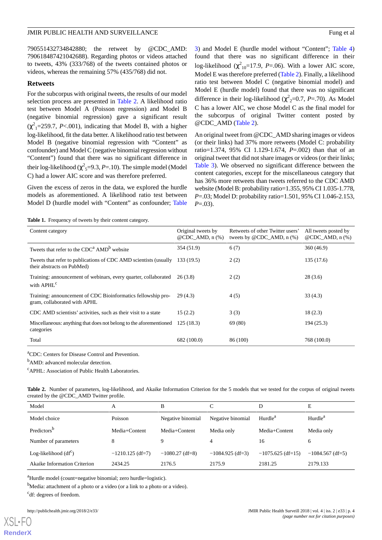790551432734842880; the retweet by @CDC\_AMD: 790618487421042688). Regarding photos or videos attached to tweets, 43% (333/768) of the tweets contained photos or videos, whereas the remaining 57% (435/768) did not.

#### **Retweets**

For the subcorpus with original tweets, the results of our model selection process are presented in [Table 2](#page-3-1). A likelihood ratio test between Model A (Poisson regression) and Model B (negative binomial regression) gave a significant result  $(\chi^2_{1} = 259.7, P < .001)$ , indicating that Model B, with a higher log-likelihood, fit the data better. A likelihood ratio test between Model B (negative binomial regression with "Content" as confounder) and Model C (negative binomial regression without "Content") found that there was no significant difference in their log-likelihood ( $\chi^2$ <sub>5</sub>=9.3, *P*=.10). The simple model (Model C) had a lower AIC score and was therefore preferred.

<span id="page-3-0"></span>Given the excess of zeros in the data, we explored the hurdle models as aforementioned. A likelihood ratio test between Model D (hurdle model with "Content" as confounder; [Table](#page-4-0) [3\)](#page-4-0) and Model E (hurdle model without "Content"; [Table 4](#page-5-0)) found that there was no significant difference in their log-likelihood ( $\chi^2_{10}$ =17.9, *P*=.06). With a lower AIC score, Model E was therefore preferred [\(Table 2](#page-3-1)). Finally, a likelihood ratio test between Model C (negative binomial model) and Model E (hurdle model) found that there was no significant difference in their log-likelihood ( $\chi^2$ <sub>2</sub>=0.7, *P*=.70). As Model C has a lower AIC, we chose Model C as the final model for the subcorpus of original Twitter content posted by @CDC\_AMD ([Table 2](#page-3-1)).

An original tweet from @CDC\_AMD sharing images or videos (or their links) had 37% more retweets (Model C: probability ratio=1.374, 95% CI 1.129-1.674, *P*=.002) than that of an original tweet that did not share images or videos (or their links; [Table 3](#page-4-0)). We observed no significant difference between the content categories, except for the miscellaneous category that has 36% more retweets than tweets referred to the CDC AMD website (Model B: probability ratio=1.355, 95% CI 1.035-1.778, *P*=.03; Model D: probability ratio=1.501, 95% CI 1.046-2.153, *P*=.03).

**Table 1.** Frequency of tweets by their content category.

| Content category                                                                               | Original tweets by<br>@CDC AMD, $n$ $%$ | Retweets of other Twitter users'<br>tweets by $@CDC_AMD$ , n $(\%)$ | All tweets posted by<br>@CDC AMD, $n$ $%$ |
|------------------------------------------------------------------------------------------------|-----------------------------------------|---------------------------------------------------------------------|-------------------------------------------|
| Tweets that refer to the $CDCa$ AMD <sup>b</sup> website                                       | 354 (51.9)                              | 6(7)                                                                | 360(46.9)                                 |
| Tweets that refer to publications of CDC AMD scientists (usually<br>their abstracts on PubMed) | 133(19.5)                               | 2(2)                                                                | 135(17.6)                                 |
| Training: announcement of webinars, every quarter, collaborated<br>with APHL <sup>c</sup>      | 26 (3.8)                                | 2(2)                                                                | 28(3.6)                                   |
| Training: announcement of CDC Bioinformatics fellowship pro-<br>gram, collaborated with APHL   | 29(4.3)                                 | 4(5)                                                                | 33(4.3)                                   |
| CDC AMD scientists' activities, such as their visit to a state                                 | 15(2.2)                                 | 3(3)                                                                | 18(2.3)                                   |
| Miscellaneous: anything that does not belong to the aforementioned<br>categories               | 125(18.3)                               | 69 (80)                                                             | 194 (25.3)                                |
| Total                                                                                          | 682 (100.0)                             | 86 (100)                                                            | 768 (100.0)                               |

<span id="page-3-1"></span><sup>a</sup>CDC: Centers for Disease Control and Prevention.

<sup>b</sup>AMD: advanced molecular detection.

<sup>c</sup>APHL: Association of Public Health Laboratories.

**Table 2.** Number of parameters, log-likelihood, and Akaike Information Criterion for the 5 models that we tested for the corpus of original tweets created by the @CDC\_AMD Twitter profile.

| Model                        | А                  | B                 |                    | D                   | E                   |
|------------------------------|--------------------|-------------------|--------------------|---------------------|---------------------|
| Model choice                 | Poisson            | Negative binomial | Negative binomial  | Hurdle <sup>a</sup> | Hurdle <sup>a</sup> |
| Predictors <sup>b</sup>      | Media+Content      | Media+Content     | Media only         | Media+Content       | Media only          |
| Number of parameters         | 8                  | Q                 | 4                  | 16                  | 6                   |
| Log-likelihood $(df^c)$      | $-1210.125$ (df=7) | $-1080.27$ (df=8) | $-1084.925$ (df=3) | $-1075.625$ (df=15) | $-1084.567$ (df=5)  |
| Akaike Information Criterion | 2434.25            | 2176.5            | 2175.9             | 2181.25             | 2179.133            |

<sup>a</sup>Hurdle model (count=negative binomial; zero hurdle=logistic).

<sup>b</sup>Media: attachment of a photo or a video (or a link to a photo or a video).

<sup>c</sup>df: degrees of freedom.

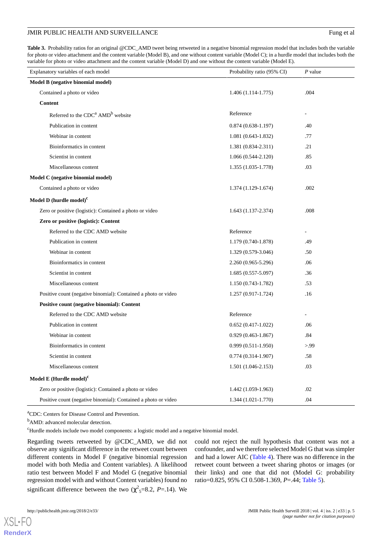#### JMIR PUBLIC HEALTH AND SURVEILLANCE Fung et al.

<span id="page-4-0"></span>**Table 3.** Probability ratios for an original @CDC\_AMD tweet being retweeted in a negative binomial regression model that includes both the variable for photo or video attachment and the content variable (Model B), and one without content variable (Model C); in a hurdle model that includes both the variable for photo or video attachment and the content variable (Model D) and one without the content variable (Model E).

| Explanatory variables of each model                            | Probability ratio (95% CI) | $P$ value                |
|----------------------------------------------------------------|----------------------------|--------------------------|
| Model B (negative binomial model)                              |                            |                          |
| Contained a photo or video                                     | $1.406(1.114-1.775)$       | .004                     |
| <b>Content</b>                                                 |                            |                          |
| Referred to the CDC <sup>a</sup> AMD <sup>b</sup> website      | Reference                  |                          |
| Publication in content                                         | $0.874(0.638-1.197)$       | .40                      |
| Webinar in content                                             | $1.081(0.643-1.832)$       | .77                      |
| Bioinformatics in content                                      | 1.381 (0.834-2.311)        | .21                      |
| Scientist in content                                           | $1.066(0.544-2.120)$       | .85                      |
| Miscellaneous content                                          | 1.355 (1.035-1.778)        | .03                      |
| Model C (negative binomial model)                              |                            |                          |
| Contained a photo or video                                     | 1.374 (1.129-1.674)        | .002                     |
| Model D $\left(\textrm{hurdle model}\right)^{\textrm{c}}$      |                            |                          |
| Zero or positive (logistic): Contained a photo or video        | 1.643 (1.137-2.374)        | .008                     |
| Zero or positive (logistic): Content                           |                            |                          |
| Referred to the CDC AMD website                                | Reference                  |                          |
| Publication in content                                         | 1.179 (0.740-1.878)        | .49                      |
| Webinar in content                                             | 1.329 (0.579-3.046)        | .50                      |
| Bioinformatics in content                                      | 2.260 (0.965-5.296)        | .06                      |
| Scientist in content                                           | $1.685(0.557 - 5.097)$     | .36                      |
| Miscellaneous content                                          | $1.150(0.743-1.782)$       | .53                      |
| Positive count (negative binomial): Contained a photo or video | $1.257(0.917-1.724)$       | .16                      |
| Positive count (negative binomial): Content                    |                            |                          |
| Referred to the CDC AMD website                                | Reference                  | $\overline{\phantom{a}}$ |
| Publication in content                                         | $0.652(0.417-1.022)$       | .06                      |
| Webinar in content                                             | $0.929(0.463 - 1.867)$     | .84                      |
| Bioinformatics in content                                      | $0.999(0.511-1.950)$       | > 99                     |
| Scientist in content                                           | $0.774(0.314-1.907)$       | .58                      |
| Miscellaneous content                                          | $1.501(1.046-2.153)$       | .03                      |
| Model E (Hurdle model) $c$                                     |                            |                          |
| Zero or positive (logistic): Contained a photo or video        | 1.442 (1.059-1.963)        | .02                      |
| Positive count (negative binomial): Contained a photo or video | $1.344(1.021-1.770)$       | .04                      |

<sup>a</sup>CDC: Centers for Disease Control and Prevention.

<sup>b</sup>AMD: advanced molecular detection.

<sup>c</sup>Hurdle models include two model components: a logistic model and a negative binomial model.

Regarding tweets retweeted by @CDC\_AMD, we did not observe any significant difference in the retweet count between different contents in Model F (negative binomial regression model with both Media and Content variables). A likelihood ratio test between Model F and Model G (negative binomial regression model with and without Content variables) found no significant difference between the two  $(\chi^2_{5} = 8.2, P = .14)$ . We

could not reject the null hypothesis that content was not a confounder, and we therefore selected Model G that was simpler and had a lower AIC ([Table 4](#page-5-0)). There was no difference in the retweet count between a tweet sharing photos or images (or their links) and one that did not (Model G: probability ratio=0.825, 95% CI 0.508-1.369, *P*=.44; [Table 5\)](#page-5-1).

 $XS$  • FC **[RenderX](http://www.renderx.com/)**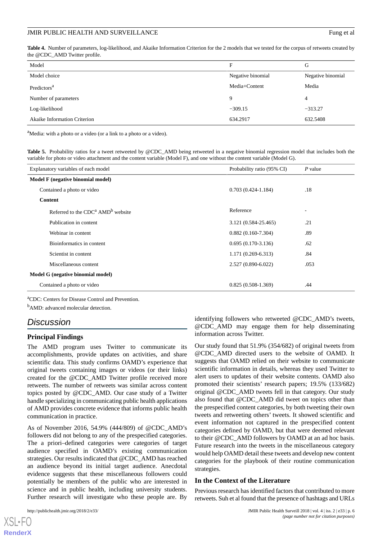#### JMIR PUBLIC HEALTH AND SURVEILLANCE Fung et al.

<span id="page-5-0"></span>**Table 4.** Number of parameters, log-likelihood, and Akaike Information Criterion for the 2 models that we tested for the corpus of retweets created by the @CDC\_AMD Twitter profile.

| Model                               | F                 | G                 |
|-------------------------------------|-------------------|-------------------|
| Model choice                        | Negative binomial | Negative binomial |
| Predictors <sup>a</sup>             | Media+Content     | Media             |
| Number of parameters                | 9                 | 4                 |
| Log-likelihood                      | $-309.15$         | $-313.27$         |
| <b>Akaike Information Criterion</b> | 634.2917          | 632.5408          |

<span id="page-5-1"></span><sup>a</sup>Media: with a photo or a video (or a link to a photo or a video).

**Table 5.** Probability ratios for a tweet retweeted by @CDC\_AMD being retweeted in a negative binomial regression model that includes both the variable for photo or video attachment and the content variable (Model F), and one without the content variable (Model G).

| Explanatory variables of each model             | Probability ratio (95% CI) | $P$ value |  |
|-------------------------------------------------|----------------------------|-----------|--|
| Model F (negative binomial model)               |                            |           |  |
| Contained a photo or video                      | $0.703(0.424 - 1.184)$     | .18       |  |
| <b>Content</b>                                  |                            |           |  |
| Referred to the $CDCa$ AMD <sup>b</sup> website | Reference                  | ٠         |  |
| Publication in content                          | 3.121 (0.584-25.465)       | .21       |  |
| Webinar in content                              | $0.882(0.160-7.304)$       | .89       |  |
| Bioinformatics in content                       | $0.695(0.170-3.136)$       | .62       |  |
| Scientist in content                            | $1.171(0.269 - 6.313)$     | .84       |  |
| Miscellaneous content                           | 2.527 (0.890-6.022)        | .053      |  |
| Model G (negative binomial model)               |                            |           |  |
| Contained a photo or video                      | $0.825(0.508-1.369)$       | .44       |  |

<sup>a</sup>CDC: Centers for Disease Control and Prevention.

<sup>b</sup>AMD: advanced molecular detection.

## *Discussion*

#### **Principal Findings**

The AMD program uses Twitter to communicate its accomplishments, provide updates on activities, and share scientific data. This study confirms OAMD's experience that original tweets containing images or videos (or their links) created for the @CDC\_AMD Twitter profile received more retweets. The number of retweets was similar across content topics posted by @CDC\_AMD. Our case study of a Twitter handle specializing in communicating public health applications of AMD provides concrete evidence that informs public health communication in practice.

As of November 2016, 54.9% (444/809) of @CDC\_AMD's followers did not belong to any of the prespecified categories. The a priori–defined categories were categories of target audience specified in OAMD's existing communication strategies. Our results indicated that @CDC\_AMD has reached an audience beyond its initial target audience. Anecdotal evidence suggests that these miscellaneous followers could potentially be members of the public who are interested in science and in public health, including university students. Further research will investigate who these people are. By

identifying followers who retweeted @CDC\_AMD's tweets, @CDC\_AMD may engage them for help disseminating information across Twitter.

Our study found that 51.9% (354/682) of original tweets from @CDC\_AMD directed users to the website of OAMD. It suggests that OAMD relied on their website to communicate scientific information in details, whereas they used Twitter to alert users to updates of their website contents. OAMD also promoted their scientists' research papers; 19.5% (133/682) original @CDC\_AMD tweets fell in that category. Our study also found that @CDC\_AMD did tweet on topics other than the prespecified content categories, by both tweeting their own tweets and retweeting others' tweets. It showed scientific and event information not captured in the prespecified content categories defined by OAMD, but that were deemed relevant to their @CDC\_AMD followers by OAMD at an ad hoc basis. Future research into the tweets in the miscellaneous category would help OAMD detail these tweets and develop new content categories for the playbook of their routine communication strategies.

#### **In the Context of the Literature**

Previous research has identified factors that contributed to more retweets. Suh et al found that the presence of hashtags and URLs

[XSL](http://www.w3.org/Style/XSL)•FO **[RenderX](http://www.renderx.com/)**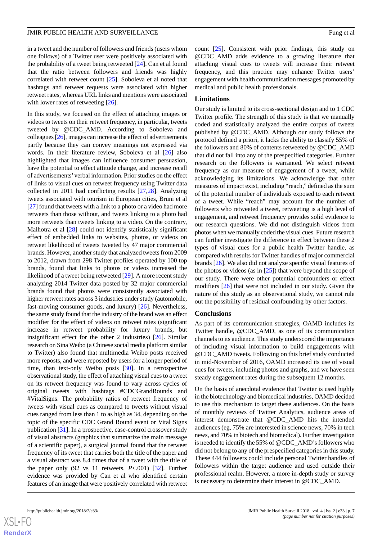in a tweet and the number of followers and friends (users whom one follows) of a Twitter user were positively associated with the probability of a tweet being retweeted [\[24](#page-8-7)]. Can et al found that the ratio between followers and friends was highly correlated with retweet count [[25\]](#page-8-8). Soboleva et al noted that hashtags and retweet requests were associated with higher retweet rates, whereas URL links and mentions were associated with lower rates of retweeting [\[26](#page-8-9)].

In this study, we focused on the effect of attaching images or videos to tweets on their retweet frequency, in particular, tweets tweeted by @CDC\_AMD. According to Soboleva and colleagues [\[26\]](#page-8-9), images can increase the effect of advertisements partly because they can convey meanings not expressed via words. In their literature review, Soboleva et al [[26\]](#page-8-9) also highlighted that images can influence consumer persuasion, have the potential to effect attitude change, and increase recall of advertisements'verbal information. Prior studies on the effect of links to visual cues on retweet frequency using Twitter data collected in 2011 had conflicting results [[27,](#page-8-10)[28](#page-8-11)]. Analyzing tweets associated with tourism in European cities, Bruni et al [[27\]](#page-8-10) found that tweets with a link to a photo or a video had more retweets than those without, and tweets linking to a photo had more retweets than tweets linking to a video. On the contrary, Malhotra et al [\[28](#page-8-11)] could not identify statistically significant effect of embedded links to websites, photos, or videos on retweet likelihood of tweets tweeted by 47 major commercial brands. However, another study that analyzed tweets from 2009 to 2012, drawn from 298 Twitter profiles operated by 100 top brands, found that links to photos or videos increased the likelihood of a tweet being retweeted [[29\]](#page-8-12). A more recent study analyzing 2014 Twitter data posted by 32 major commercial brands found that photos were consistently associated with higher retweet rates across 3 industries under study (automobile, fast-moving consumer goods, and luxury) [[26\]](#page-8-9). Nevertheless, the same study found that the industry of the brand was an effect modifier for the effect of videos on retweet rates (significant increase in retweet probability for luxury brands, but insignificant effect for the other 2 industries) [[26\]](#page-8-9). Similar research on Sina Weibo (a Chinese social media platform similar to Twitter) also found that multimedia Weibo posts received more reposts, and were reposted by users for a longer period of time, than text-only Weibo posts [\[30](#page-8-13)]. In a retrospective observational study, the effect of attaching visual cues to a tweet on its retweet frequency was found to vary across cycles of original tweets with hashtags #CDCGrandRounds and #VitalSigns. The probability ratios of retweet frequency of tweets with visual cues as compared to tweets without visual cues ranged from less than 1 to as high as 34, depending on the topic of the specific CDC Grand Round event or Vital Signs publication [\[31](#page-8-14)]. In a prospective, case-control crossover study of visual abstracts (graphics that summarize the main message of a scientific paper), a surgical journal found that the retweet frequency of its tweet that carries both the title of the paper and a visual abstract was 8.4 times that of a tweet with the title of the paper only (92 vs 11 retweets, *P*<.001) [\[32](#page-8-15)]. Further evidence was provided by Can et al who identified certain features of an image that were positively correlated with retweet

count [\[25](#page-8-8)]. Consistent with prior findings, this study on @CDC\_AMD adds evidence to a growing literature that attaching visual cues to tweets will increase their retweet frequency, and this practice may enhance Twitter users' engagement with health communication messages promoted by medical and public health professionals.

#### **Limitations**

Our study is limited to its cross-sectional design and to 1 CDC Twitter profile. The strength of this study is that we manually coded and statistically analyzed the entire corpus of tweets published by @CDC\_AMD. Although our study follows the protocol defined a priori, it lacks the ability to classify 55% of the followers and 80% of contents retweeted by @CDC\_AMD that did not fall into any of the prespecified categories. Further research on the followers is warranted. We select retweet frequency as our measure of engagement of a tweet, while acknowledging its limitations. We acknowledge that other measures of impact exist, including "reach," defined as the sum of the potential number of individuals exposed to each retweet of a tweet. While "reach" may account for the number of followers who retweeted a tweet, retweeting is a high level of engagement, and retweet frequency provides solid evidence to our research questions. We did not distinguish videos from photos when we manually coded the visual cues. Future research can further investigate the difference in effect between these 2 types of visual cues for a public health Twitter handle, as compared with results for Twitter handles of major commercial brands [[26\]](#page-8-9). We also did not analyze specific visual features of the photos or videos (as in  $[25]$  $[25]$ ) that were beyond the scope of our study. There were other potential confounders or effect modifiers [\[26](#page-8-9)] that were not included in our study. Given the nature of this study as an observational study, we cannot rule out the possibility of residual confounding by other factors.

#### **Conclusions**

As part of its communication strategies, OAMD includes its Twitter handle, @CDC\_AMD, as one of its communication channels to its audience. This study underscored the importance of including visual information to build engagements with @CDC\_AMD tweets. Following on this brief study conducted in mid-November of 2016, OAMD increased its use of visual cues for tweets, including photos and graphs, and we have seen steady engagement rates during the subsequent 12 months.

On the basis of anecdotal evidence that Twitter is used highly in the biotechnology and biomedical industries, OAMD decided to use this mechanism to target these audiences. On the basis of monthly reviews of Twitter Analytics, audience areas of interest demonstrate that @CDC\_AMD hits the intended audiences (eg, 75% are interested in science news, 70% in tech news, and 70% in biotech and biomedical). Further investigation is needed to identify the 55% of @CDC\_AMD's followers who did not belong to any of the prespecified categories in this study. These 444 followers could include personal Twitter handles of followers within the target audience and used outside their professional realm. However, a more in-depth study or survey is necessary to determine their interest in @CDC\_AMD.

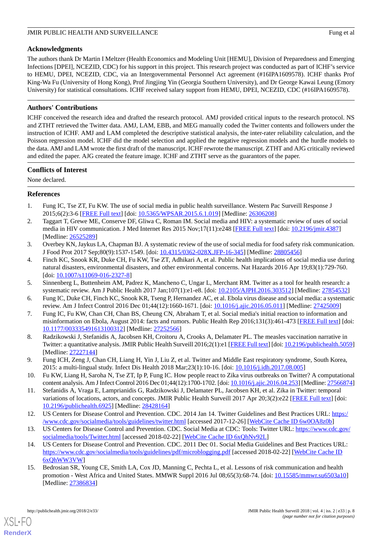## **Acknowledgments**

The authors thank Dr Martin I Meltzer (Health Economics and Modeling Unit [HEMU], Division of Preparedness and Emerging Infections [DPEI], NCEZID, CDC) for his support in this project. This research project was conducted as part of ICHF's service to HEMU, DPEI, NCEZID, CDC, via an Intergovernmental Personnel Act agreement (#16IPA1609578). ICHF thanks Prof King-Wa Fu (University of Hong Kong), Prof Jingjing Yin (Georgia Southern University), and Dr George Kawai Leung (Emory University) for statistical consultations. ICHF received salary support from HEMU, DPEI, NCEZID, CDC (#16IPA1609578).

## **Authors' Contributions**

ICHF conceived the research idea and drafted the research protocol. AMJ provided critical inputs to the research protocol. NS and ZTHT retrieved the Twitter data. AMJ, LAM, EBB, and MEG manually coded the Twitter contents and followers under the instruction of ICHF. AMJ and LAM completed the descriptive statistical analysis, the inter-rater reliability calculation, and the Poisson regression model. ICHF did the model selection and applied the negative regression models and the hurdle models to the data. AMJ and LAM wrote the first draft of the manuscript. ICHF rewrote the manuscript. ZTHT and AJG critically reviewed and edited the paper. AJG created the feature image. ICHF and ZTHT serve as the guarantors of the paper.

## **Conflicts of Interest**

<span id="page-7-0"></span>None declared.

## <span id="page-7-1"></span>**References**

- 1. Fung IC, Tse ZT, Fu KW. The use of social media in public health surveillance. Western Pac Surveill Response J 2015;6(2):3-6 [[FREE Full text](http://europepmc.org/abstract/MED/26306208)] [doi: [10.5365/WPSAR.2015.6.1.019](http://dx.doi.org/10.5365/WPSAR.2015.6.1.019)] [Medline: [26306208](http://www.ncbi.nlm.nih.gov/entrez/query.fcgi?cmd=Retrieve&db=PubMed&list_uids=26306208&dopt=Abstract)]
- <span id="page-7-2"></span>2. Taggart T, Grewe ME, Conserve DF, Gliwa C, Roman IM. Social media and HIV: a systematic review of uses of social media in HIV communication. J Med Internet Res 2015 Nov;17(11):e248 [[FREE Full text](http://www.jmir.org/2015/11/e248/)] [doi: [10.2196/jmir.4387](http://dx.doi.org/10.2196/jmir.4387)] [Medline: [26525289](http://www.ncbi.nlm.nih.gov/entrez/query.fcgi?cmd=Retrieve&db=PubMed&list_uids=26525289&dopt=Abstract)]
- <span id="page-7-3"></span>3. Overbey KN, Jaykus LA, Chapman BJ. A systematic review of the use of social media for food safety risk communication. J Food Prot 2017 Sep;80(9):1537-1549. [doi: [10.4315/0362-028X.JFP-16-345](http://dx.doi.org/10.4315/0362-028X.JFP-16-345)] [Medline: [28805456](http://www.ncbi.nlm.nih.gov/entrez/query.fcgi?cmd=Retrieve&db=PubMed&list_uids=28805456&dopt=Abstract)]
- <span id="page-7-5"></span><span id="page-7-4"></span>4. Finch KC, Snook KR, Duke CH, Fu KW, Tse ZT, Adhikari A, et al. Public health implications of social media use during natural disasters, environmental disasters, and other environmental concerns. Nat Hazards 2016 Apr 19;83(1):729-760. [doi: [10.1007/s11069-016-2327-8](http://dx.doi.org/10.1007/s11069-016-2327-8)]
- <span id="page-7-6"></span>5. Sinnenberg L, Buttenheim AM, Padrez K, Mancheno C, Ungar L, Merchant RM. Twitter as a tool for health research: a systematic review. Am J Public Health 2017 Jan;107(1):e1-e8. [doi: [10.2105/AJPH.2016.303512](http://dx.doi.org/10.2105/AJPH.2016.303512)] [Medline: [27854532](http://www.ncbi.nlm.nih.gov/entrez/query.fcgi?cmd=Retrieve&db=PubMed&list_uids=27854532&dopt=Abstract)]
- <span id="page-7-7"></span>6. Fung IC, Duke CH, Finch KC, Snook KR, Tseng P, Hernandez AC, et al. Ebola virus disease and social media: a systematic review. Am J Infect Control 2016 Dec 01;44(12):1660-1671. [doi: [10.1016/j.ajic.2016.05.011\]](http://dx.doi.org/10.1016/j.ajic.2016.05.011) [Medline: [27425009\]](http://www.ncbi.nlm.nih.gov/entrez/query.fcgi?cmd=Retrieve&db=PubMed&list_uids=27425009&dopt=Abstract)
- <span id="page-7-8"></span>7. Fung IC, Fu KW, Chan CH, Chan BS, Cheung CN, Abraham T, et al. Social media's initial reaction to information and misinformation on Ebola, August 2014: facts and rumors. Public Health Rep 2016;131(3):461-473 [[FREE Full text](http://europepmc.org/abstract/MED/27252566)] [doi: [10.1177/003335491613100312\]](http://dx.doi.org/10.1177/003335491613100312) [Medline: [27252566\]](http://www.ncbi.nlm.nih.gov/entrez/query.fcgi?cmd=Retrieve&db=PubMed&list_uids=27252566&dopt=Abstract)
- <span id="page-7-9"></span>8. Radzikowski J, Stefanidis A, Jacobsen KH, Croitoru A, Crooks A, Delamater PL. The measles vaccination narrative in Twitter: a quantitative analysis. JMIR Public Health Surveill 2016;2(1):e1 [\[FREE Full text\]](http://publichealth.jmir.org/2016/1/e1/) [doi: [10.2196/publichealth.5059\]](http://dx.doi.org/10.2196/publichealth.5059) [Medline: [27227144](http://www.ncbi.nlm.nih.gov/entrez/query.fcgi?cmd=Retrieve&db=PubMed&list_uids=27227144&dopt=Abstract)]
- <span id="page-7-10"></span>9. Fung ICH, Zeng J, Chan CH, Liang H, Yin J, Liu Z, et al. Twitter and Middle East respiratory syndrome, South Korea, 2015: a multi-lingual study. Infect Dis Health 2018 Mar;23(1):10-16. [doi: [10.1016/j.idh.2017.08.005\]](http://dx.doi.org/10.1016/j.idh.2017.08.005)
- <span id="page-7-11"></span>10. Fu KW, Liang H, Saroha N, Tse ZT, Ip P, Fung IC. How people react to Zika virus outbreaks on Twitter? A computational content analysis. Am J Infect Control 2016 Dec 01;44(12):1700-1702. [doi: [10.1016/j.ajic.2016.04.253\]](http://dx.doi.org/10.1016/j.ajic.2016.04.253) [Medline: [27566874\]](http://www.ncbi.nlm.nih.gov/entrez/query.fcgi?cmd=Retrieve&db=PubMed&list_uids=27566874&dopt=Abstract)
- <span id="page-7-13"></span><span id="page-7-12"></span>11. Stefanidis A, Vraga E, Lamprianidis G, Radzikowski J, Delamater PL, Jacobsen KH, et al. Zika in Twitter: temporal variations of locations, actors, and concepts. JMIR Public Health Surveill 2017 Apr 20;3(2):e22 [[FREE Full text\]](http://publichealth.jmir.org/2017/2/e22/) [doi: [10.2196/publichealth.6925\]](http://dx.doi.org/10.2196/publichealth.6925) [Medline: [28428164\]](http://www.ncbi.nlm.nih.gov/entrez/query.fcgi?cmd=Retrieve&db=PubMed&list_uids=28428164&dopt=Abstract)
- <span id="page-7-14"></span>12. US Centers for Disease Control and Prevention. CDC. 2014 Jan 14. Twitter Guidelines and Best Practices URL: [https:/](https://www.cdc.gov/socialmedia/tools/guidelines/twitter.html) [/www.cdc.gov/socialmedia/tools/guidelines/twitter.html](https://www.cdc.gov/socialmedia/tools/guidelines/twitter.html) [accessed 2017-12-26] [\[WebCite Cache ID 6w0OA8z0b\]](http://www.webcitation.org/

                                6w0OA8z0b)
- 13. US Centers for Disease Control and Prevention. CDC. Social Media at CDC: Tools: Twitter URL: [https://www.cdc.gov/](https://www.cdc.gov/socialmedia/tools/Twitter.html) [socialmedia/tools/Twitter.html](https://www.cdc.gov/socialmedia/tools/Twitter.html) [accessed 2018-02-22] [\[WebCite Cache ID 6xQhNv92L\]](http://www.webcitation.org/

                                6xQhNv92L)
- 14. US Centers for Disease Control and Prevention. CDC. 2011 Dec 01. Social Media Guidelines and Best Practices URL: <https://www.cdc.gov/socialmedia/tools/guidelines/pdf/microblogging.pdf> [accessed 2018-02-22] [\[WebCite Cache ID](http://www.webcitation.org/

                                6xQhWW3VW) [6xQhWW3VW](http://www.webcitation.org/

                                6xQhWW3VW)]
- 15. Bedrosian SR, Young CE, Smith LA, Cox JD, Manning C, Pechta L, et al. Lessons of risk communication and health promotion - West Africa and United States. MMWR Suppl 2016 Jul 08;65(3):68-74. [doi: [10.15585/mmwr.su6503a10\]](http://dx.doi.org/10.15585/mmwr.su6503a10) [Medline: [27386834](http://www.ncbi.nlm.nih.gov/entrez/query.fcgi?cmd=Retrieve&db=PubMed&list_uids=27386834&dopt=Abstract)]

[XSL](http://www.w3.org/Style/XSL)•FO **[RenderX](http://www.renderx.com/)**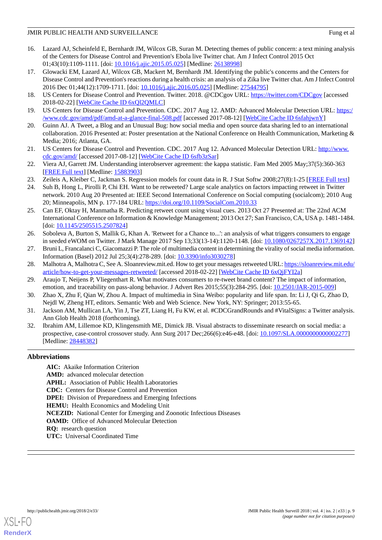- 16. Lazard AJ, Scheinfeld E, Bernhardt JM, Wilcox GB, Suran M. Detecting themes of public concern: a text mining analysis of the Centers for Disease Control and Prevention's Ebola live Twitter chat. Am J Infect Control 2015 Oct 01;43(10):1109-1111. [doi: [10.1016/j.ajic.2015.05.025\]](http://dx.doi.org/10.1016/j.ajic.2015.05.025) [Medline: [26138998\]](http://www.ncbi.nlm.nih.gov/entrez/query.fcgi?cmd=Retrieve&db=PubMed&list_uids=26138998&dopt=Abstract)
- <span id="page-8-0"></span>17. Glowacki EM, Lazard AJ, Wilcox GB, Mackert M, Bernhardt JM. Identifying the public's concerns and the Centers for Disease Control and Prevention's reactions during a health crisis: an analysis of a Zika live Twitter chat. Am J Infect Control 2016 Dec 01;44(12):1709-1711. [doi: [10.1016/j.ajic.2016.05.025](http://dx.doi.org/10.1016/j.ajic.2016.05.025)] [Medline: [27544795\]](http://www.ncbi.nlm.nih.gov/entrez/query.fcgi?cmd=Retrieve&db=PubMed&list_uids=27544795&dopt=Abstract)
- <span id="page-8-2"></span><span id="page-8-1"></span>18. US Centers for Disease Control and Prevention. Twitter. 2018. @CDCgov URL:<https://twitter.com/CDCgov> [accessed 2018-02-22] [\[WebCite Cache ID 6xQl2QMLC](http://www.webcitation.org/

                                6xQl2QMLC)]
- <span id="page-8-3"></span>19. US Centers for Disease Control and Prevention. CDC. 2017 Aug 12. AMD: Advanced Molecular Detection URL: [https:/](https://www.cdc.gov/amd/pdf/amd-at-a-glance-final-508.pdf) [/www.cdc.gov/amd/pdf/amd-at-a-glance-final-508.pdf](https://www.cdc.gov/amd/pdf/amd-at-a-glance-final-508.pdf) [accessed 2017-08-12] [[WebCite Cache ID 6sfahjwnY](http://www.webcitation.org/

                                6sfahjwnY)]
- <span id="page-8-4"></span>20. Guinn AJ. A Tweet, a Blog and an Unusual Bug: how social media and open source data sharing led to an international collaboration. 2016 Presented at: Poster presentation at the National Conference on Health Communication, Marketing & Media; 2016; Atlanta, GA.
- <span id="page-8-5"></span>21. US Centers for Disease Control and Prevention. CDC. 2017 Aug 12. Advanced Molecular Detection URL: [http://www.](http://www.cdc.gov/amd/) [cdc.gov/amd/](http://www.cdc.gov/amd/) [accessed 2017-08-12] [[WebCite Cache ID 6sfb3zSar](http://www.webcitation.org/

                                6sfb3zSar)]
- <span id="page-8-7"></span><span id="page-8-6"></span>22. Viera AJ, Garrett JM. Understanding interobserver agreement: the kappa statistic. Fam Med 2005 May;37(5):360-363 [[FREE Full text](http://www.stfm.org/fmhub/fm2005/May/Anthony360.pdf)] [Medline: [15883903](http://www.ncbi.nlm.nih.gov/entrez/query.fcgi?cmd=Retrieve&db=PubMed&list_uids=15883903&dopt=Abstract)]
- 23. Zeileis A, Kleiber C, Jackman S. Regression models for count data in R. J Stat Softw 2008;27(8):1-25 [\[FREE Full text\]](https://www.jstatsoft.org/article/view/v027i08)
- <span id="page-8-8"></span>24. Suh B, Hong L, Pirolli P, Chi EH. Want to be retweeted? Large scale analytics on factors impacting retweet in Twitter network. 2010 Aug 20 Presented at: IEEE Second International Conference on Social computing (socialcom); 2010 Aug 20; Minneapolis, MN p. 177-184 URL:<https://doi.org/10.1109/SocialCom.2010.33>
- <span id="page-8-9"></span>25. Can EF, Oktay H, Manmatha R. Predicting retweet count using visual cues. 2013 Oct 27 Presented at: The 22nd ACM International Conference on Information & Knowledge Management; 2013 Oct 27; San Francisco, CA, USA p. 1481-1484. [doi: [10.1145/2505515.2507824\]](http://dx.doi.org/10.1145/2505515.2507824)
- <span id="page-8-11"></span><span id="page-8-10"></span>26. Soboleva A, Burton S, Mallik G, Khan A. 'Retweet for a Chance to...': an analysis of what triggers consumers to engage in seeded eWOM on Twitter. J Mark Manage 2017 Sep 13;33(13-14):1120-1148. [doi: [10.1080/0267257X.2017.1369142](http://dx.doi.org/10.1080/0267257X.2017.1369142)]
- <span id="page-8-12"></span>27. Bruni L, Francalanci C, Giacomazzi P. The role of multimedia content in determining the virality of social media information. Information (Basel) 2012 Jul 25;3(4):278-289. [doi: [10.3390/info3030278](http://dx.doi.org/10.3390/info3030278)]
- <span id="page-8-13"></span>28. Malhotra A, Malhotra C, See A. Sloanreview.mit.ed. How to get your messages retweeted URL: [https://sloanreview.mit.edu/](https://sloanreview.mit.edu/article/how-to-get-your-messages-retweeted/) [article/how-to-get-your-messages-retweeted/](https://sloanreview.mit.edu/article/how-to-get-your-messages-retweeted/) [accessed 2018-02-22] [[WebCite Cache ID 6xQjFYI2a\]](http://www.webcitation.org/

                                6xQjFYI2a)
- <span id="page-8-14"></span>29. Araujo T, Neijens P, Vliegenthart R. What motivates consumers to re-tweet brand content? The impact of information, emotion, and traceability on pass-along behavior. J Advert Res 2015;55(3):284-295. [doi: [10.2501/JAR-2015-009\]](http://dx.doi.org/10.2501/JAR-2015-009)
- <span id="page-8-15"></span>30. Zhao X, Zhu F, Qian W, Zhou A. Impact of multimedia in Sina Weibo: popularity and life span. In: Li J, Qi G, Zhao D, Nejdl W, Zheng HT, editors. Semantic Web and Web Science. New York, NY: Springer; 2013:55-65.
- 31. Jackson AM, Mullican LA, Yin J, Tse ZT, Liang H, Fu KW, et al. #CDCGrandRounds and #VitalSigns: a Twitter analysis. Ann Glob Health 2018 (forthcoming).
- 32. Ibrahim AM, Lillemoe KD, Klingensmith ME, Dimick JB. Visual abstracts to disseminate research on social media: a prospective, case-control crossover study. Ann Surg 2017 Dec;266(6):e46-e48. [doi: [10.1097/SLA.0000000000002277](http://dx.doi.org/10.1097/SLA.0000000000002277)] [Medline: [28448382](http://www.ncbi.nlm.nih.gov/entrez/query.fcgi?cmd=Retrieve&db=PubMed&list_uids=28448382&dopt=Abstract)]

## **Abbreviations**

**AIC:** Akaike Information Criterion **AMD:** advanced molecular detection **APHL:** Association of Public Health Laboratories **CDC:** Centers for Disease Control and Prevention **DPEI:** Division of Preparedness and Emerging Infections **HEMU:** Health Economics and Modeling Unit **NCEZID:** National Center for Emerging and Zoonotic Infectious Diseases **OAMD:** Office of Advanced Molecular Detection **RQ:** research question **UTC:** Universal Coordinated Time